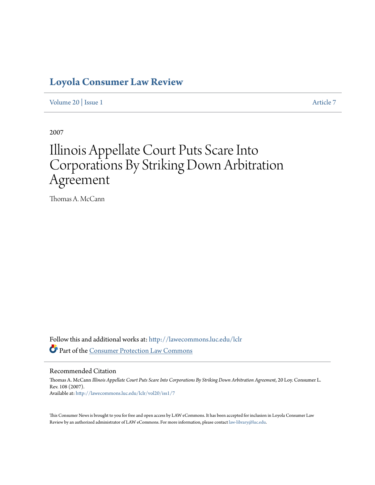## **[Loyola Consumer Law Review](http://lawecommons.luc.edu/lclr?utm_source=lawecommons.luc.edu%2Flclr%2Fvol20%2Fiss1%2F7&utm_medium=PDF&utm_campaign=PDFCoverPages)**

[Volume 20](http://lawecommons.luc.edu/lclr/vol20?utm_source=lawecommons.luc.edu%2Flclr%2Fvol20%2Fiss1%2F7&utm_medium=PDF&utm_campaign=PDFCoverPages) | [Issue 1](http://lawecommons.luc.edu/lclr/vol20/iss1?utm_source=lawecommons.luc.edu%2Flclr%2Fvol20%2Fiss1%2F7&utm_medium=PDF&utm_campaign=PDFCoverPages) [Article 7](http://lawecommons.luc.edu/lclr/vol20/iss1/7?utm_source=lawecommons.luc.edu%2Flclr%2Fvol20%2Fiss1%2F7&utm_medium=PDF&utm_campaign=PDFCoverPages)

2007

## Illinois Appellate Court Puts Scare Into Corporations By Striking Down Arbitration Agreement

Thomas A. McCann

Follow this and additional works at: [http://lawecommons.luc.edu/lclr](http://lawecommons.luc.edu/lclr?utm_source=lawecommons.luc.edu%2Flclr%2Fvol20%2Fiss1%2F7&utm_medium=PDF&utm_campaign=PDFCoverPages) Part of the [Consumer Protection Law Commons](http://network.bepress.com/hgg/discipline/838?utm_source=lawecommons.luc.edu%2Flclr%2Fvol20%2Fiss1%2F7&utm_medium=PDF&utm_campaign=PDFCoverPages)

## Recommended Citation

Thomas A. McCann *Illinois Appellate Court Puts Scare Into Corporations By Striking Down Arbitration Agreement*, 20 Loy. Consumer L. Rev. 108 (2007). Available at: [http://lawecommons.luc.edu/lclr/vol20/iss1/7](http://lawecommons.luc.edu/lclr/vol20/iss1/7?utm_source=lawecommons.luc.edu%2Flclr%2Fvol20%2Fiss1%2F7&utm_medium=PDF&utm_campaign=PDFCoverPages)

This Consumer News is brought to you for free and open access by LAW eCommons. It has been accepted for inclusion in Loyola Consumer Law Review by an authorized administrator of LAW eCommons. For more information, please contact [law-library@luc.edu](mailto:law-library@luc.edu).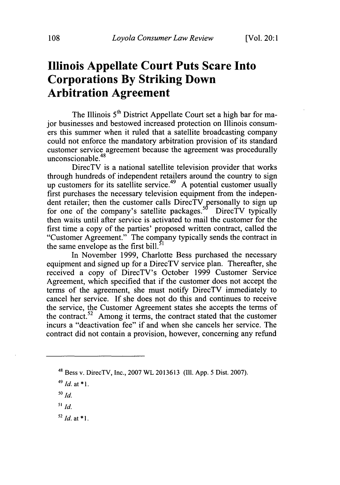## **Illinois Appellate Court Puts Scare Into Corporations By Striking Down Arbitration Agreement**

The Illinois 5<sup>th</sup> District Appellate Court set a high bar for major businesses and bestowed increased protection on Illinois consumers this summer when it ruled that a satellite broadcasting company could not enforce the mandatory arbitration provision of its standard customer service agreement because the agreement was procedurally unconscionable. $48$ 

DirecTV is a national satellite television provider that works through hundreds of independent retailers around the country to sign up customers for its satellite service.<sup>49</sup> A potential customer usually first purchases the necessary television equipment from the independent retailer; then the customer calls DirecTV personally to sign up for one of the company's satellite packages.<sup>50</sup> DirecTV typically then waits until after service is activated to mail the customer for the first time a copy of the parties' proposed written contract, called the "Customer Agreement." The company typically sends the contract in the same envelope as the first bill.<sup> $\dot{ }$ </sup>

In November **1999,** Charlotte Bess purchased the necessary equipment and signed up for a DirecTV service plan. Thereafter, she received a copy of DirecTV's October **1999** Customer Service Agreement, which specified that if the customer does not accept the terms of the agreement, she must notify DirecTV immediately to cancel her service. **If** she does not do this and continues to receive the service, the Customer Agreement states she accepts the terms of the contract.<sup>52</sup> Among it terms, the contract stated that the customer incurs a "deactivation fee" if and when she cancels her service. The contract did not contain a provision, however, concerning any **refund**

 $52$  *Id.* at  $*1$ .

<sup>48</sup>Bess v. DirecTV, Inc., **2007** WL **2013613 (Il1.** App. 5 Dist. **2007).**

*<sup>49</sup> Id.* at **\* 1.**

*<sup>50</sup> id.*

*<sup>51</sup>id.*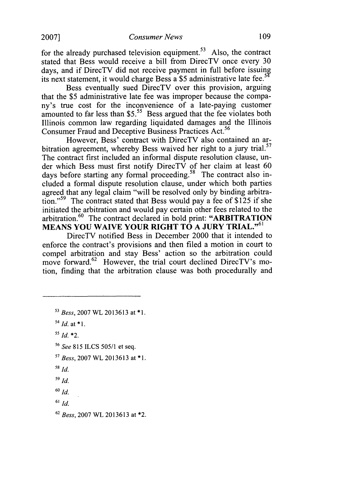for the already purchased television equipment.<sup>53</sup> Also, the contract stated that Bess would receive a bill from DirecTV once every 30 days, and if DirecTV did not receive payment in full before issuing its next statement, it would charge Bess a \$5 administrative late fee.

Bess eventually sued DirecTV over this provision, arguing that the \$5 administrative late fee was improper because the company's true cost for the inconvenience of a late-paying customer amounted to far less than  $$5<sup>55</sup>$  Bess argued that the fee violates both Illinois common law regarding liquidated damages and the Illinois Consumer Fraud and Deceptive Business Practices Act.<sup>56</sup>

However, Bess' contract with DirecTV also contained an arbitration agreement, whereby Bess waived her right to a jury trial.<sup>57</sup> The contract first included an informal dispute resolution clause, under which Bess must first notify DirecTV of her claim at least 60 days before starting any formal proceeding.<sup>58</sup> The contract also included a formal dispute resolution clause, under which both parties agreed that any legal claim "will be resolved only by binding arbitration."<sup>59</sup> The contract stated that Bess would pay a fee of \$125 if she initiated the arbitration and would pay certain other fees related to the arbitration.<sup>60</sup> The contract declared in bold print: "ARBITRATION **MEANS YOU WAIVE YOUR RIGHT TO A JURY TRIAL. <sup>61</sup>**

DirecTV notified Bess in December 2000 that it intended to enforce the contract's provisions and then filed a motion in court to compel arbitration and stay Bess' action so the arbitration could move forward.<sup>62</sup> However, the trial court declined DirecTV's motion, finding that the arbitration clause was both procedurally and

- **3** *Bess,* **2007** WL **2013613** at **\*1.**
- *14 Id.* at **\* 1.**
- $^{55}$ *Id*  $*2$ .
- **<sup>56</sup>***See* 815 ILCS 505/1 et seq.
- *<sup>17</sup>Bess,* 2007 WL 2013613 at \*1.
- **58** *Id.*
- **59** *id.*
- **60** *id.*
- **61** *id.*
- **62** *Bess,* 2007 WL 2013613 at \*2.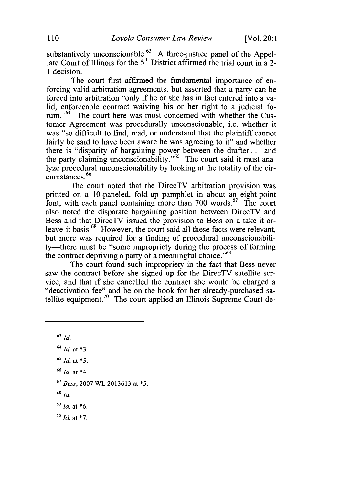substantively unconscionable.<sup>83</sup> A three-justice panel of the Appellate Court of Illinois for the **5th** District affirmed the trial court in a 2- 1 decision.

The court first affirmed the fundamental importance of enforcing valid arbitration agreements, but asserted that a party can be forced into arbitration "only if he or she has in fact entered into a valid, enforceable contract waiving his or her right to a judicial forum."<sup>64</sup> The court here was most concerned with whether the Customer Agreement was procedurally unconscionable, i.e. whether it was "so difficult to find, read, or understand that the plaintiff cannot fairly be said to have been aware he was agreeing to it" and whether there is "disparity of bargaining power between the drafter.., and the party claiming unconscionability." $\frac{65}{100}$  The court said it must analyze procedural unconscionability by looking at the totality of the circumstances.<sup>66</sup>

The court noted that the DirecTV arbitration provision was printed on a 10-paneled, fold-up pamphlet in about an eight-point font, with each panel containing more than 700 words. $67$  The court also noted the disparate bargaining position between DirecTV and Bess and that DirecTV issued the provision to Bess on a take-it-orleave-it basis.<sup>68</sup> However, the court said all these facts were relevant. but more was required for a finding of procedural unconscionability—there must be "some impropriety during the process of forming the contract depriving a party of a meaningful choice." $69$ 

The court found such impropriety in the fact that Bess never saw the contract before she signed up for the DirecTV satellite service, and that if she cancelled the contract she would be charged a "deactivation fee" and be on the hook for her already-purchased satellite equipment.<sup>70</sup> The court applied an Illinois Supreme Court de-

**63** *Id.*

- **<sup>66</sup>***Id.* at \*4.
- **<sup>67</sup>***Bess,* 2007 WL 2013613 at **\*5.**
- **<sup>68</sup>***id.*
- **<sup>69</sup>***Id.* at \*6.
- **<sup>70</sup>***Id.* at **\*7.**

**<sup>64</sup>***Id.* at **\*3.**

*<sup>65</sup>Id.* at **\*5.**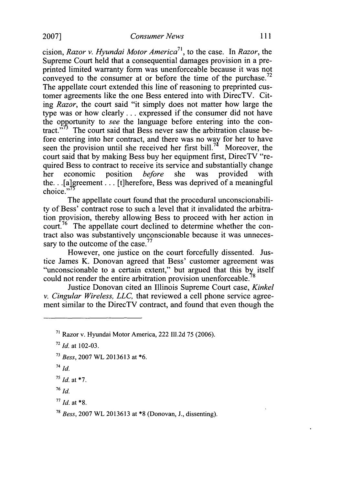cision, *Razor v. Hyundai Motor America 71,* to the case. In *Razor,* the Supreme Court held that a consequential damages provision in a preprinted limited warranty form was unenforceable because it was not conveyed to the consumer at or before the time of the purchase.<sup>72</sup> The appellate court extended this line of reasoning to preprinted customer agreements like the one Bess entered into with DirecTV. Citing *Razor,* the court said "it simply does not matter how large the type was or how clearly.., expressed if the consumer did not have the opportunity to *see* the language before entering into the contract. $1773$  The court said that Bess never saw the arbitration clause before entering into her contract, and there was no way for her to have seen the provision until she received her first bill.<sup>74</sup> Moreover, the court said that by making Bess buy her equipment first, DirecTV "required Bess to contract to receive its service and substantially change<br>her economic position *before* she was provided with her economic position *before* she was provided with the. .. [algreement... [t]herefore, Bess was deprived of a meaningful choice."

The appellate court found that the procedural unconscionability of Bess' contract rose to such a level that it invalidated the arbitration provision, thereby allowing Bess to proceed with her action in court.<sup>76</sup> The appellate court declined to determine whether the contract also was substantively unconscionable because it was unnecessary to the outcome of the case.<sup>77</sup>

However, one justice on the court forcefully dissented. Justice James K. Donovan agreed that Bess' customer agreement was "unconscionable to a certain extent," but argued that this **by** itself could not render the entire arbitration provision unenforceable.

Justice Donovan cited an Illinois Supreme Court case, *Kinkel v. Cingular Wireless, LLC,* that reviewed a cell phone service agreement similar to the DirecTV contract, and found that even though the

**76** *Id.*

 $177$ *Id.* at  $*8$ .

**<sup>71</sup>**Razor v. Hyundai Motor America, 222 Il1.2d 75 (2006).

**<sup>72</sup>***Id.* at 102-03.

*<sup>&</sup>quot; Bess,* 2007 WL 2013613 at \*6.

<sup>74</sup>*Id.*

 $^{75}$  *Id.* at \*7.

**<sup>78</sup>***Bess,* 2007 WL 2013613 at \*8 (Donovan, J., dissenting).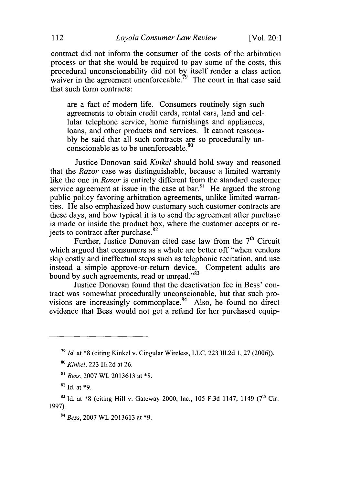contract did not inform the consumer of the costs of the arbitration process or that she would be required to pay some of the costs, this procedural unconscionability did not **by** itself render a class action waiver in the agreement unenforceable.<sup> $79$ </sup> The court in that case said that such form contracts:

are a fact of modem life. Consumers routinely sign such agreements to obtain credit cards, rental cars, land and cellular telephone service, home furnishings and appliances, loans, and other products and services. It cannot reasonably be said that all such contracts are so procedurally unconscionable as to be unenforceable. $80$ 

Justice Donovan said *Kinkel* should hold sway and reasoned that the *Razor* case was distinguishable, because a limited warranty like the one in *Razor* is entirely different from the standard customer service agreement at issue in the case at bar. $81$  He argued the strong public policy favoring arbitration agreements, unlike limited warranties. He also emphasized how customary such customer contracts are these days, and how typical it is to send the agreement after purchase is made or inside the product box, where the customer accepts or rejects to contract after purchase.<sup>82</sup>

Further, Justice Donovan cited case law from the 7<sup>th</sup> Circuit which argued that consumers as a whole are better off "when vendors skip costly and ineffectual steps such as telephonic recitation, and use instead a simple approve-or-return device. Competent adults are bound by such agreements, read or unread."<sup>83</sup>

Justice Donovan found that the deactivation fee in Bess' contract was somewhat procedurally unconscionable, but that such provisions are increasingly commonplace.<sup>84</sup> Also, he found no direct evidence that Bess would not get a refund for her purchased equip-

**<sup>82</sup>**Id. at **\*9.**

**<sup>79</sup>***Id.* at \*8 (citing Kinkel v. Cingular Wireless, LLC, 223 Il.2d 1, 27 (2006)).

**<sup>80</sup>***Kinkel,* 223 Il1.2d at 26.

<sup>&</sup>lt;sup>81</sup> Bess, 2007 WL 2013613 at \*8.

**<sup>83</sup>**Id. at \*8 (citing Hill v. Gateway 2000, Inc., 105 F.3d 1147, 1149 **(7th** Cir. 1997).

**<sup>84</sup>***Bess,* 2007 WL 2013613 at **\*9.**